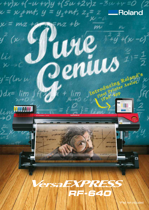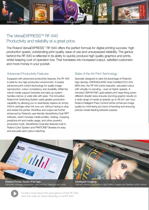

# The VersaEXPRESS™ RE-640 Productivity and reliability at a great price.

The Roland VersaEXPRESS™ RF-640 offers the perfect formula for digital printing success: high production speed, outstanding print quality, ease of use and unsurpassed reliability. The genius behind the RF-640 is reflected in its ability to quickly produce high quality graphics and prints, whilst keeping cost of operation low. That translates into increased output, satisfied customers and more money in your pocket.

### **Advanced Productivity Features**

Equipped with advanced productivity features, the RF-640 is ideal for any high production environment. It boasts advanced print control technology for quality image reproduction, colour consistency and durability. While the robust media support brackets and take-up system handles narrow or wide rolls with ease. The innovative Roland Ink Switching System adds greater production capability by allowing you to seamlessly replace an empty 440ml cartridge when ink runs out, without having to stop and restart the printer. Workflow and output are further enhanced by Roland's user-friendly VersaWorks Dual RIP® software, which includes media profiles, nesting, cropping, predictive ink and media usage, and other powerful production tools. VersaWorks Dual also features built-in Roland Color System and PANTONE<sup>®</sup> libraries for easy and accurate spot colour matching.

### State of the Art Print Technology

Specially designed to take full advantage of Roland's high-density, GREENGUARD Gold Certified ECO-SOL MAX inks, the RF-640 prints beautiful, saturated colour with virtually no banding - even at higher speeds. A mirrored CMYKKYMC gold-plated print head firing seven different droplet sizes ensures stunning graphic results on a wide range of media at speeds up to 48.5m<sup>2</sup> per hour. Roland Intelligent Pass Control further enhances image quality by minimising any trace of banding and ensuring precise media feeding between passes.



Roland Printer Assist iPad app Remotely manage production, test printing, cleaning and more

**Intelligent imaging** Delivers smooth gradations, high-fidelity images and flawless solid colours

To learn more about the pure genius of the RF-640, view the video at www.rolanddg.co.uk/RF-640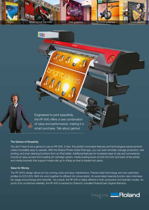

Engineered to print beautifully, the RF-640 offers a rare combination of value and performance, making it a smart purchase. Talk about genius!

IAA

**TITHE** 

#### The Genius of Simplicity

You don't have to be a genius to use an RF-640. In fact, this printer's innovative features and technological advancements make it incredibly easy to operate. With the Roland Printer Assist iPad app, you can even remotely manage production, test printing, and even cleaning functions from an iPad tablet. Additional features for increased ease of use and convenience include an easy-access front-loading ink cartridge system, media loading levers at both the front and back of the printer, and media brackets that support media rolls up to 40kgs as they're loaded into place.

#### **Value for Monev**

The RF-640's design allows for low running costs and easy maintenance. Precise inkjet technology and new optimised profiles for ECO-SOL MAX ink work together for efficient ink consumption. An automated cleaning function also minimises ink usage and prolongs print head life. As a result, the RF-640 is highly efficient in both production and standby modes. As proof of its unmatched reliability, the RF-640 is backed by Roland's unrivalled RolandCare Original Warranty.